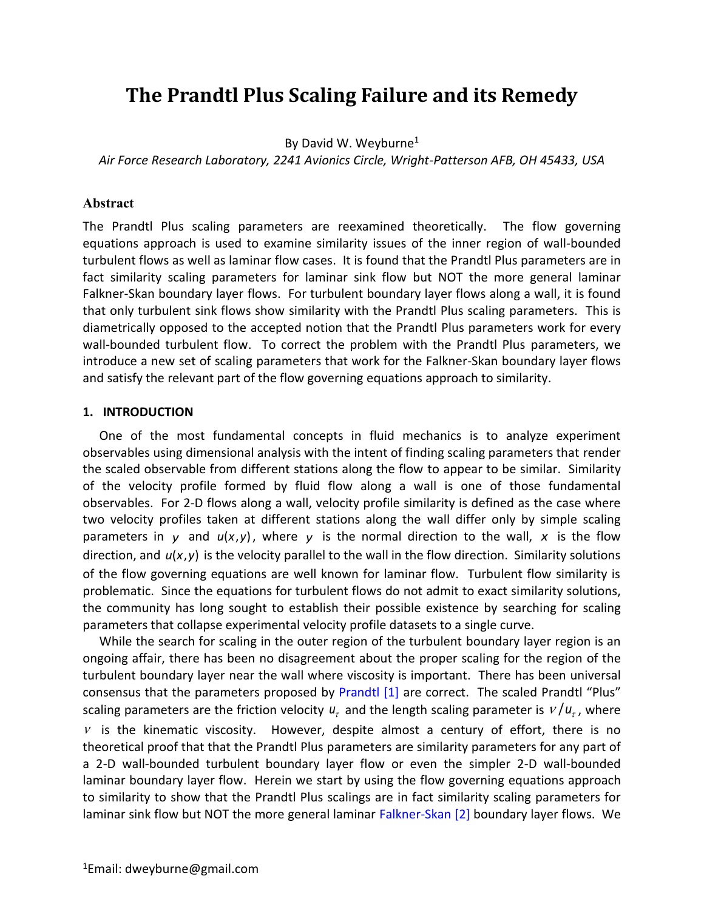# **The Prandtl Plus Scaling Failure and its Remedy**

By David W. Weyburne<sup>1</sup>

*Air Force Research Laboratory, 2241 Avionics Circle, Wright-Patterson AFB, OH 45433, USA*

#### **Abstract**

The Prandtl Plus scaling parameters are reexamined theoretically. The flow governing equations approach is used to examine similarity issues of the inner region of wall-bounded turbulent flows as well as laminar flow cases. It is found that the Prandtl Plus parameters are in fact similarity scaling parameters for laminar sink flow but NOT the more general laminar Falkner-Skan boundary layer flows. For turbulent boundary layer flows along a wall, it is found that only turbulent sink flows show similarity with the Prandtl Plus scaling parameters. This is diametrically opposed to the accepted notion that the Prandtl Plus parameters work for every wall-bounded turbulent flow. To correct the problem with the Prandtl Plus parameters, we introduce a new set of scaling parameters that work for the Falkner-Skan boundary layer flows and satisfy the relevant part of the flow governing equations approach to similarity.

#### **1. INTRODUCTION**

One of the most fundamental concepts in fluid mechanics is to analyze experiment observables using dimensional analysis with the intent of finding scaling parameters that render the scaled observable from different stations along the flow to appear to be similar. Similarity of the velocity profile formed by fluid flow along a wall is one of those fundamental observables. For 2-D flows along a wall, velocity profile similarity is defined as the case where two velocity profiles taken at different stations along the wall differ only by simple scaling parameters in y and  $u(x,y)$ , where y is the normal direction to the wall, x is the flow direction, and  $u(x, y)$  is the velocity parallel to the wall in the flow direction. Similarity solutions of the flow governing equations are well known for laminar flow. Turbulent flow similarity is problematic. Since the equations for turbulent flows do not admit to exact similarity solutions, the community has long sought to establish their possible existence by searching for scaling parameters that collapse experimental velocity profile datasets to a single curve.

While the search for scaling in the outer region of the turbulent boundary layer region is an ongoing affair, there has been no disagreement about the proper scaling for the region of the turbulent boundary layer near the wall where viscosity is important. There has been universal consensus that the parameters proposed by [Prandtl \[1\]](#page-11-0) are correct. The scaled Prandtl "Plus" scaling parameters are the friction velocity  $u_{\tau}$  and the length scaling parameter is  $v/u_{\tau}$ , where  $V$  is the kinematic viscosity. However, despite almost a century of effort, there is no theoretical proof that that the Prandtl Plus parameters are similarity parameters for any part of a 2-D wall-bounded turbulent boundary layer flow or even the simpler 2-D wall-bounded laminar boundary layer flow. Herein we start by using the flow governing equations approach to similarity to show that the Prandtl Plus scalings are in fact similarity scaling parameters for laminar sink flow but NOT the more general laminar [Falkner-Skan \[2\]](#page-11-1) boundary layer flows. We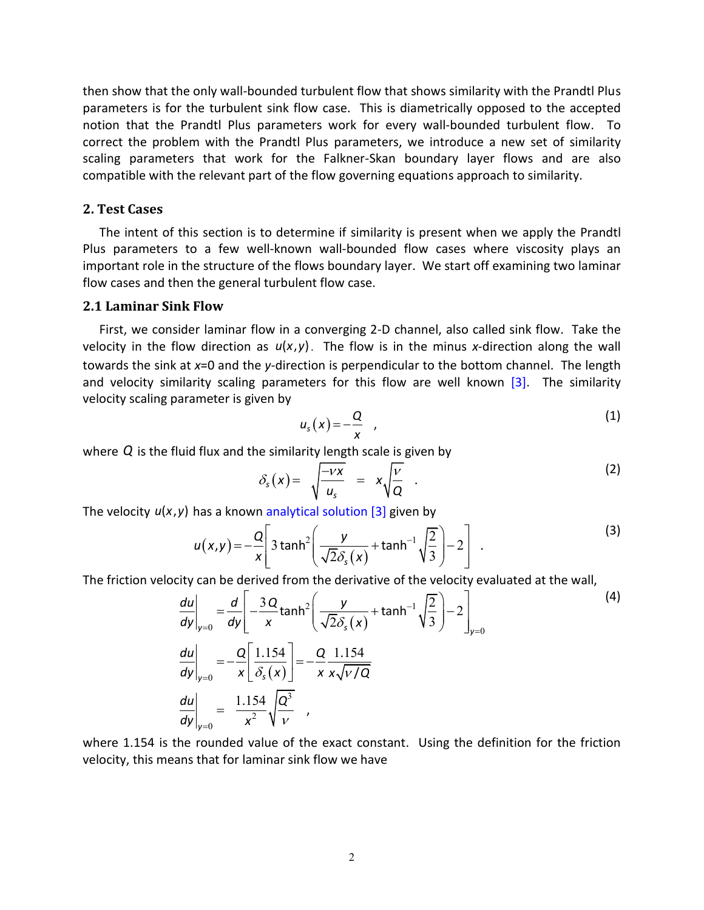then show that the only wall-bounded turbulent flow that shows similarity with the Prandtl Plus parameters is for the turbulent sink flow case. This is diametrically opposed to the accepted notion that the Prandtl Plus parameters work for every wall-bounded turbulent flow. To correct the problem with the Prandtl Plus parameters, we introduce a new set of similarity scaling parameters that work for the Falkner-Skan boundary layer flows and are also compatible with the relevant part of the flow governing equations approach to similarity.

### **2. Test Cases**

The intent of this section is to determine if similarity is present when we apply the Prandtl Plus parameters to a few well-known wall-bounded flow cases where viscosity plays an important role in the structure of the flows boundary layer. We start off examining two laminar flow cases and then the general turbulent flow case.

#### **2.1 Laminar Sink Flow**

First, we consider laminar flow in a converging 2-D channel, also called sink flow. Take the velocity in the flow direction as  $u(x,y)$ . The flow is in the minus x-direction along the wall towards the sink at *x*=0 and the *y*-direction is perpendicular to the bottom channel. The length and velocity similarity scaling parameters for this flow are well known  $\boxed{3}$ . The similarity velocity scaling parameter is given by

$$
u_s(x) = -\frac{Q}{x} \quad , \tag{1}
$$

where *Q* is the fluid flux and the similarity length scale is given by<br> $S(x) = \sqrt{-VX} = \sqrt{V}$ 

$$
\delta_{s}(x) = \sqrt{\frac{-\nu x}{u_{s}}} = x\sqrt{\frac{\nu}{Q}} \quad . \tag{2}
$$

The velocity 
$$
u(x, y)
$$
 has a known analytical solution [3] given by  
\n
$$
u(x,y) = -\frac{Q}{x} \left[ 3 \tanh^2 \left( \frac{y}{\sqrt{2}\delta_s(x)} + \tanh^{-1} \sqrt{\frac{2}{3}} \right) - 2 \right] .
$$
\n(3)

The friction velocity can be derived from the derivative of the velocity evaluated at the wall,  
\n
$$
\frac{du}{dy}\Big|_{y=0} = \frac{d}{dy} \Bigg[ -\frac{3Q}{x} \tanh^2 \left( \frac{y}{\sqrt{2}\delta_s(x)} + \tanh^{-1} \sqrt{\frac{2}{3}} \right) - 2 \Bigg]_{y=0}
$$
\n
$$
\frac{du}{dy}\Big|_{y=0} = -\frac{Q}{x} \Bigg[ \frac{1.154}{\delta_s(x)} \Bigg] = -\frac{Q}{x} \frac{1.154}{x\sqrt{v/Q}}
$$
\n
$$
\frac{du}{dy}\Big|_{y=0} = \frac{1.154}{x^2} \sqrt{\frac{Q^3}{v}}
$$

where 1.154 is the rounded value of the exact constant. Using the definition for the friction velocity, this means that for laminar sink flow we have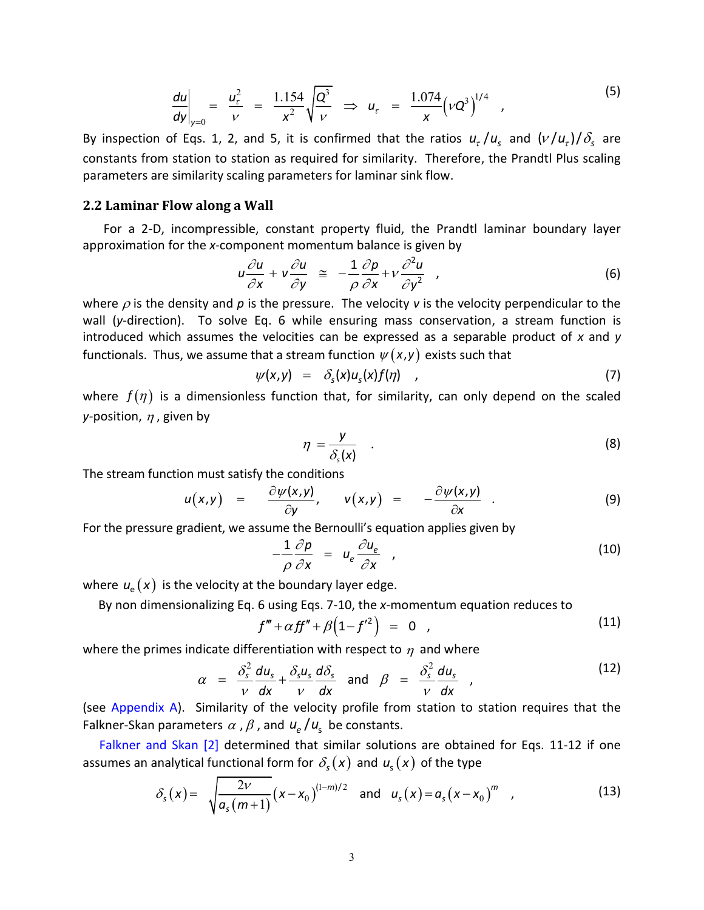$$
\left. \frac{du}{dy} \right|_{y=0} = \frac{u_{\tau}^{2}}{v} = \frac{1.154}{x^{2}} \sqrt{\frac{Q^{3}}{v}} \implies u_{\tau} = \frac{1.074}{x} (vQ^{3})^{1/4}, \qquad (5)
$$

By inspection of Eqs. 1, 2, and 5, it is confirmed that the ratios  $u_{\tau}/u_{\rm s}$  and  $(v/u_{\tau})/\delta_{\rm s}$  are constants from station to station as required for similarity. Therefore, the Prandtl Plus scaling parameters are similarity scaling parameters for laminar sink flow.

#### **2.2 Laminar Flow along a Wall**

For a 2-D, incompressible, constant property fluid, the Prandtl laminar boundary layer approximation for the *x*-component momentum balance is given by<br> $u \frac{\partial u}{\partial x} + v \frac{\partial u}{\partial y} = -\frac{1}{2} \frac{\partial p}{\partial y} + v \frac{\partial^2 u}{\partial x}$ .

$$
u \frac{\partial u}{\partial x} + v \frac{\partial u}{\partial y} \approx -\frac{1}{\rho} \frac{\partial p}{\partial x} + v \frac{\partial^2 u}{\partial y^2} , \qquad (6)
$$

where  $\rho$  is the density and  $p$  is the pressure. The velocity  $v$  is the velocity perpendicular to the wall (*y*-direction). To solve Eq. 6 while ensuring mass conservation, a stream function is introduced which assumes the velocities can be expressed as a separable product of *x* and *y* functionals. Thus, we assume that a stream function  $\psi(x,y)$  exists such that<br> $\psi(x,y) = \delta_s(x)u_s(x)f(\eta)$ ,

$$
\psi(x,y) = \delta_s(x)u_s(x)f(\eta) \qquad (7)
$$

where  $f(\eta)$  is a dimensionless function that, for similarity, can only depend on the scaled *y*-position,  $\eta$  , given by

$$
\eta = \frac{y}{\delta_s(x)} \quad . \tag{8}
$$

$$
\frac{\partial_s(x)}{\partial x}
$$
\nThe stream function must satisfy the conditions\n
$$
u(x,y) = \frac{\partial \psi(x,y)}{\partial y}, \quad v(x,y) = -\frac{\partial \psi(x,y)}{\partial x}.
$$
\n(9)

For the pressure gradient, we assume the Bernoulli's equation applies given by

$$
-\frac{1}{\rho}\frac{\partial p}{\partial x} = u_e \frac{\partial u_e}{\partial x} \qquad (10)
$$

where  $u_{\rm e}(\textit{\textbf{x}})$  is the velocity at the boundary layer edge.

By non dimensionalizing Eq. 6 using Eqs. 7-10, the *x*-momentum equation reduces to  
\n
$$
f''' + \alpha f f'' + \beta (1 - f'^2) = 0
$$

where the primes indicate differentiation with respect to 
$$
\eta
$$
 and where  
\n
$$
\alpha = \frac{\delta_s^2}{\nu} \frac{du_s}{dx} + \frac{\delta_s u_s}{\nu} \frac{d\delta_s}{dx} \quad \text{and} \quad \beta = \frac{\delta_s^2}{\nu} \frac{du_s}{dx}
$$
\n(12)  
\n(see Appendix A). Similarly of the velocity profile from station to station requires that the

Falkner-Skan parameters  $\alpha$  ,  $\beta$  , and  $u_e/u_s$  be constants.

Falkner [and Skan](#page-11-1) [2] determined that similar solutions are obtained for Eqs. 11-12 if one

assumes an analytical functional form for 
$$
\delta_s(x)
$$
 and  $u_s(x)$  of the type  
\n
$$
\delta_s(x) = \sqrt{\frac{2v}{a_s(m+1)}} (x - x_0)^{(1-m)/2}
$$
 and  $u_s(x) = a_s(x - x_0)^m$ , (13)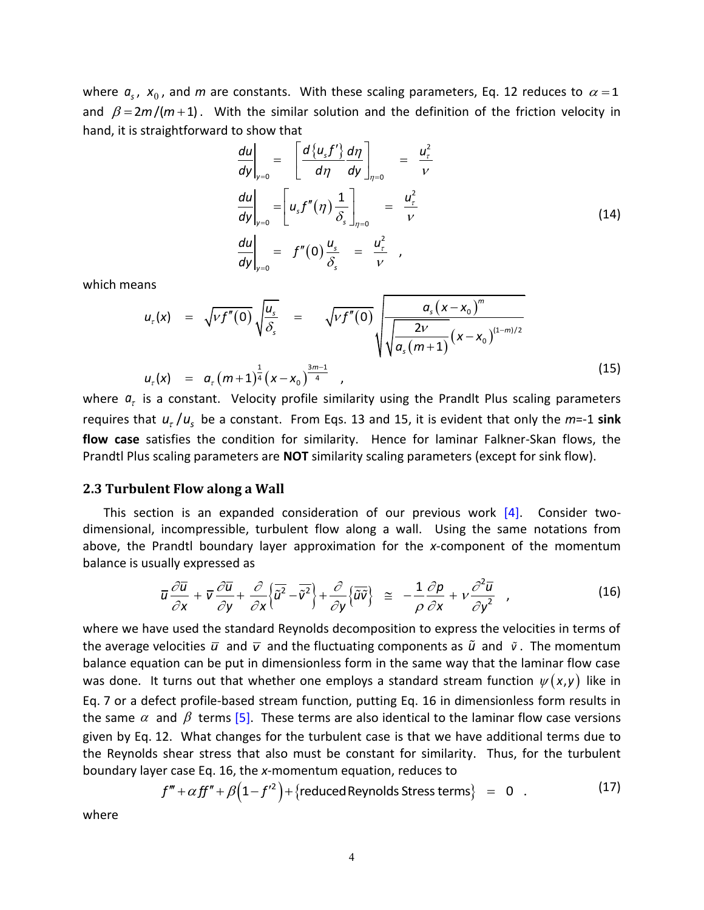where  $a_s$ ,  $x_0$ , and  $m$  are constants. With these scaling parameters, Eq. 12 reduces to  $\alpha$  = 1 and  $\beta = 2m/(m+1)$ . With the similar solution and the definition of the friction velocity in hand, it is straightforward to show that

$$
\frac{du}{dy}\Big|_{y=0} = \left[\frac{d\{u_s f'\}}{d\eta}\frac{d\eta}{dy}\right]_{\eta=0} = \frac{u_\tau^2}{\nu}
$$
\n
$$
\frac{du}{dy}\Big|_{y=0} = \left[u_s f''(\eta)\frac{1}{\delta_s}\right]_{\eta=0} = \frac{u_\tau^2}{\nu}
$$
\n
$$
\frac{du}{dy}\Big|_{y=0} = f''(0)\frac{u_s}{\delta_s} = \frac{u_\tau^2}{\nu} \quad ,
$$
\n(14)

which means

which means  
\n
$$
u_{\tau}(x) = \sqrt{Vf''(0)} \sqrt{\frac{u_s}{\delta_s}} = \sqrt{Vf''(0)} \sqrt{\frac{a_s(x-x_0)^m}{\sqrt{\frac{2V}{a_s(m+1)}(x-x_0)^{(1-m)/2}}}}
$$
\n
$$
u_{\tau}(x) = a_{\tau}(m+1)^{\frac{1}{4}}(x-x_0)^{\frac{3m-1}{4}},
$$
\nwhere  $a_{\tau}$  is a constant. Velocity profile similarity using the Prandlt Plus scaling parameters

requires that  $u_r/u_s$  be a constant. From Eqs. 13 and 15, it is evident that only the  $m$ =-1 sink **flow case** satisfies the condition for similarity. Hence for laminar Falkner-Skan flows, the Prandtl Plus scaling parameters are **NOT** similarity scaling parameters (except for sink flow).

#### **2.3 Turbulent Flow along a Wall**

This section is an expanded consideration of our previous work  $[4]$ . Consider twodimensional, incompressible, turbulent flow along a wall. Using the same notations from above, the Prandtl boundary layer approximation for the *x*-component of the momentum<br>
balance is usually expressed as<br>  $\overline{u} \frac{\partial \overline{u}}{\partial x} + \overline{v} \frac{\partial \overline{u}}{\partial y} + \frac{\partial}{\partial y} \left\{ \overline{\tilde{u}^2} - \overline{\tilde{v}^2} \right\} + \frac{\partial}{\partial y} \left\{ \over$ 

balance is usually expressed as  
\n
$$
\overline{u} \frac{\partial \overline{u}}{\partial x} + \overline{v} \frac{\partial \overline{u}}{\partial y} + \frac{\partial}{\partial x} \left\{ \overline{\tilde{u}^2} - \overline{\tilde{v}^2} \right\} + \frac{\partial}{\partial y} \left\{ \overline{\tilde{u} \tilde{v}} \right\} \cong -\frac{1}{\rho} \frac{\partial p}{\partial x} + \nu \frac{\partial^2 \overline{u}}{\partial y^2},
$$
\n(16)

where we have used the standard Reynolds decomposition to express the velocities in terms of the average velocities  $\bar{u}$  and  $\bar{v}$  and the fluctuating components as  $\tilde{u}$  and  $\tilde{v}$ . The momentum balance equation can be put in dimensionless form in the same way that the laminar flow case was done. It turns out that whether one employs a standard stream function  $\psi(x,y)$  like in Eq. 7 or a defect profile-based stream function, putting Eq. 16 in dimensionless form results in the same  $\alpha$  and  $\beta$  terms [\[5\].](#page-11-4) These terms are also identical to the laminar flow case versions given by Eq. 12. What changes for the turbulent case is that we have additional terms due to the Reynolds shear stress that also must be constant for similarity. Thus, for the turbulent boundary layer case Eq. 16, the x-momentum equation, reduces to  $f''' + \alpha f f'' + \beta (1 - f'^2) + \{reduced Reynolds Stress terms\} = 0$ . (17) boundary layer case Eq. 16, the *x*-momentum equation, reduces to

$$
f''' + \alpha f f'' + \beta (1 - f'^2) + {\text{reduced Reynolds Stress terms}} \} = 0 \quad . \tag{17}
$$

where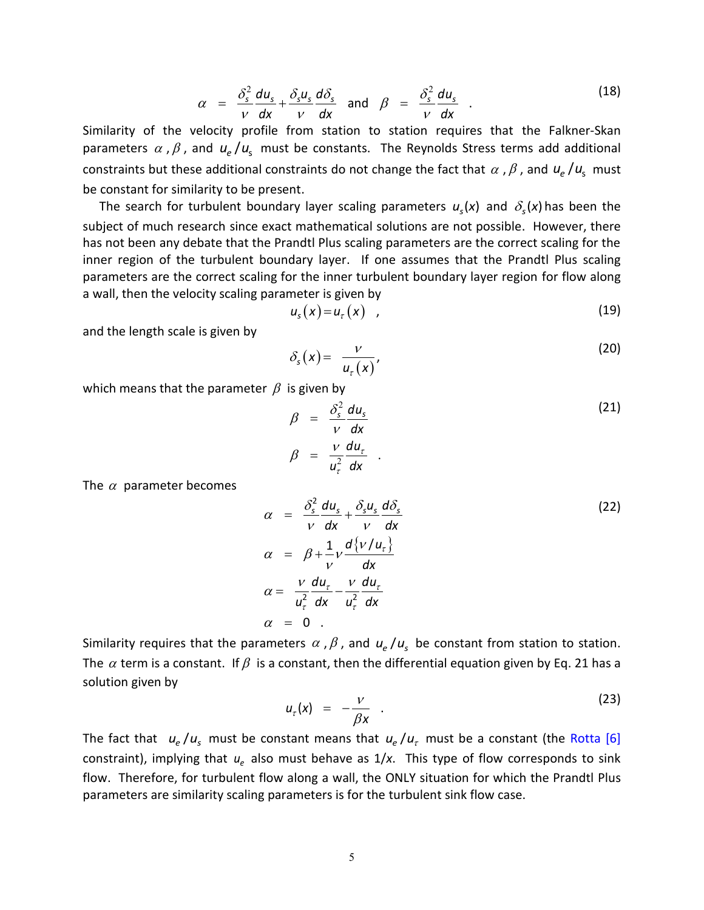$$
\alpha = \frac{\delta_s^2}{\nu} \frac{du_s}{dx} + \frac{\delta_s u_s}{\nu} \frac{d\delta_s}{dx} \quad \text{and} \quad \beta = \frac{\delta_s^2}{\nu} \frac{du_s}{dx}
$$
 (18)  
Similarly of the velocity profile from station to station requires that the Falkner-Skan

parameters  $\alpha$  ,  $\beta$  , and  $u_e/u_s$  must be constants. The Reynolds Stress terms add additional constraints but these additional constraints do not change the fact that  $\alpha$  ,  $\beta$  , and  $u_e/u_s$  must be constant for similarity to be present.

The search for turbulent boundary layer scaling parameters  $u_s(x)$  and  $\delta_s(x)$  has been the subject of much research since exact mathematical solutions are not possible. However, there has not been any debate that the Prandtl Plus scaling parameters are the correct scaling for the inner region of the turbulent boundary layer. If one assumes that the Prandtl Plus scaling parameters are the correct scaling for the inner turbulent boundary layer region for flow along a wall, then the velocity scaling parameter is given by

$$
u_{s}(x) = u_{t}(x) \quad , \tag{19}
$$

and the length scale is given by

$$
\delta_s(x) = \frac{v}{u_\tau(x)},\tag{20}
$$

which means that the parameter  $\beta$  is given by

$$
\beta = \frac{\delta_s^2}{\nu} \frac{du_s}{dx}
$$
\n
$$
\beta = \frac{\nu}{u_\tau^2} \frac{du_\tau}{dx} .
$$
\n(21)

The  $\alpha$  parameter becomes

$$
\alpha = \frac{\delta_s^2}{\nu} \frac{du_s}{dx} + \frac{\delta_s u_s}{\nu} \frac{d\delta_s}{dx}
$$
\n
$$
\alpha = \beta + \frac{1}{\nu} \frac{d\{\nu/u_\tau\}}{dx}
$$
\n
$$
\alpha = \frac{\nu}{u_\tau^2} \frac{du_\tau}{dx} - \frac{\nu}{u_\tau^2} \frac{du_\tau}{dx}
$$
\n
$$
\alpha = 0.
$$
\n(22)

Similarity requires that the parameters  $\alpha$  ,  $\beta$  , and  $u_e/u_s$  be constant from station to station. The  $\alpha$  term is a constant. If  $\beta$  is a constant, then the differential equation given by Eq. 21 has a solution given by

$$
u_{\tau}(x) = -\frac{\nu}{\beta x} \quad . \tag{23}
$$

The fact that  $|u_e/u_s|$  must be constant means that  $u_e/u_\tau$  must be a constant (the [Rotta](#page-11-5) [6] constraint), implying that  $u_e$  also must behave as 1/x. This type of flow corresponds to sink flow. Therefore, for turbulent flow along a wall, the ONLY situation for which the Prandtl Plus parameters are similarity scaling parameters is for the turbulent sink flow case.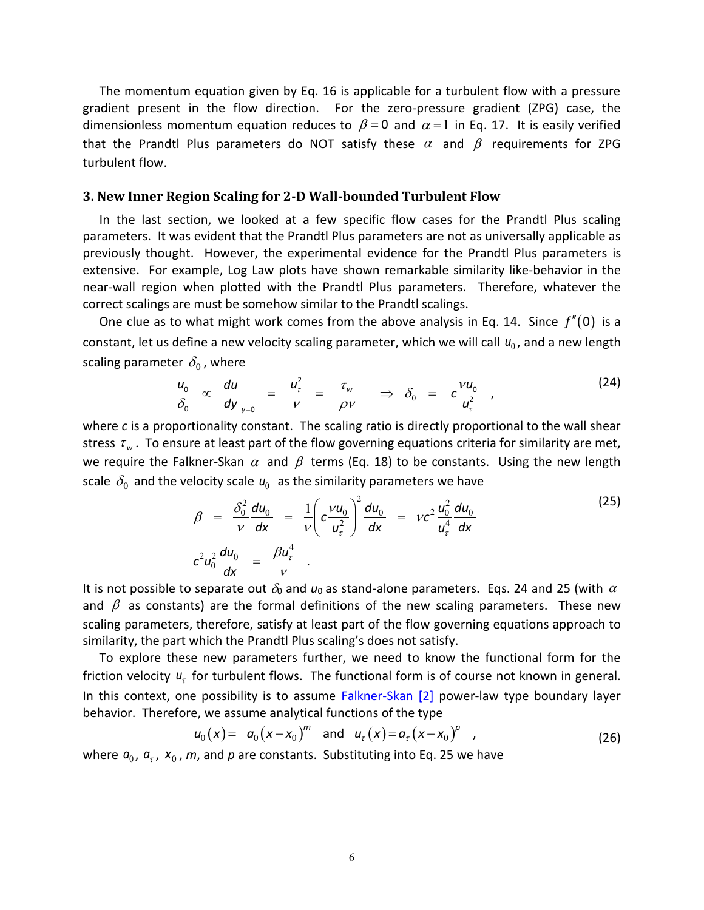The momentum equation given by Eq. 16 is applicable for a turbulent flow with a pressure gradient present in the flow direction. For the zero-pressure gradient (ZPG) case, the dimensionless momentum equation reduces to  $\beta = 0$  and  $\alpha = 1$  in Eq. 17. It is easily verified that the Prandtl Plus parameters do NOT satisfy these  $\alpha$  and  $\beta$  requirements for ZPG turbulent flow.

#### **3. New Inner Region Scaling for 2-D Wall-bounded Turbulent Flow**

In the last section, we looked at a few specific flow cases for the Prandtl Plus scaling parameters. It was evident that the Prandtl Plus parameters are not as universally applicable as previously thought. However, the experimental evidence for the Prandtl Plus parameters is extensive. For example, Log Law plots have shown remarkable similarity like-behavior in the near-wall region when plotted with the Prandtl Plus parameters. Therefore, whatever the correct scalings are must be somehow similar to the Prandtl scalings.

One clue as to what might work comes from the above analysis in Eq. 14. Since  $f''(0)$  is a constant, let us define a new velocity scaling parameter, which we will call  $u_0$ , and a new length scaling parameter  $\delta_0$  , where

er 
$$
\delta_0
$$
, where  
\n $\frac{u_0}{\delta_0} \propto \left. \frac{du}{dy} \right|_{y=0} = \left. \frac{u_\tau^2}{\nu} \right|_{y=\frac{\tau_w}{\rho V}} \Rightarrow \delta_0 = c \frac{v u_0}{u_\tau^2}$  (24)

where *c* is a proportionality constant. The scaling ratio is directly proportional to the wall shear stress  $\tau_w$ . To ensure at least part of the flow governing equations criteria for similarity are met, we require the Falkner-Skan  $\alpha$  and  $\beta$  terms (Eq. 18) to be constants. Using the new length

scale 
$$
\delta_0
$$
 and the velocity scale  $u_0$  as the similarity parameters we have  
\n
$$
\beta = \frac{\delta_0^2}{v} \frac{du_0}{dx} = \frac{1}{v} \left( c \frac{v u_0}{u_\tau^2} \right)^2 \frac{du_0}{dx} = v c^2 \frac{u_0^2}{u_\tau^4} \frac{du_0}{dx}
$$
\n(25)\n
$$
c^2 u_0^2 \frac{du_0}{dx} = \frac{\beta u_\tau^4}{v}.
$$

It is not possible to separate out  $\delta_0$  and  $u_0$  as stand-alone parameters. Eqs. 24 and 25 (with  $\alpha$ and  $\beta$  as constants) are the formal definitions of the new scaling parameters. These new scaling parameters, therefore, satisfy at least part of the flow governing equations approach to similarity, the part which the Prandtl Plus scaling's does not satisfy.

To explore these new parameters further, we need to know the functional form for the friction velocity  $u_t$  for turbulent flows. The functional form is of course not known in general. In this context, one possibility is to assume [Falkner-Skan \[2\]](#page-11-1) power-law type boundary layer behavior. Therefore, we assume analytical functions of the type<br>  $u_0(x) = a_0 (x - x_0)^m$  and  $u_r(x) = a_r (x - x_0)^p$ ,

$$
u_0(x) = a_0(x-x_0)^m
$$
 and  $u_\tau(x) = a_\tau(x-x_0)^p$ , (26)

where  $a_0$ ,  $a_\tau$ ,  $x_0$ , m, and p are constants. Substituting into Eq. 25 we have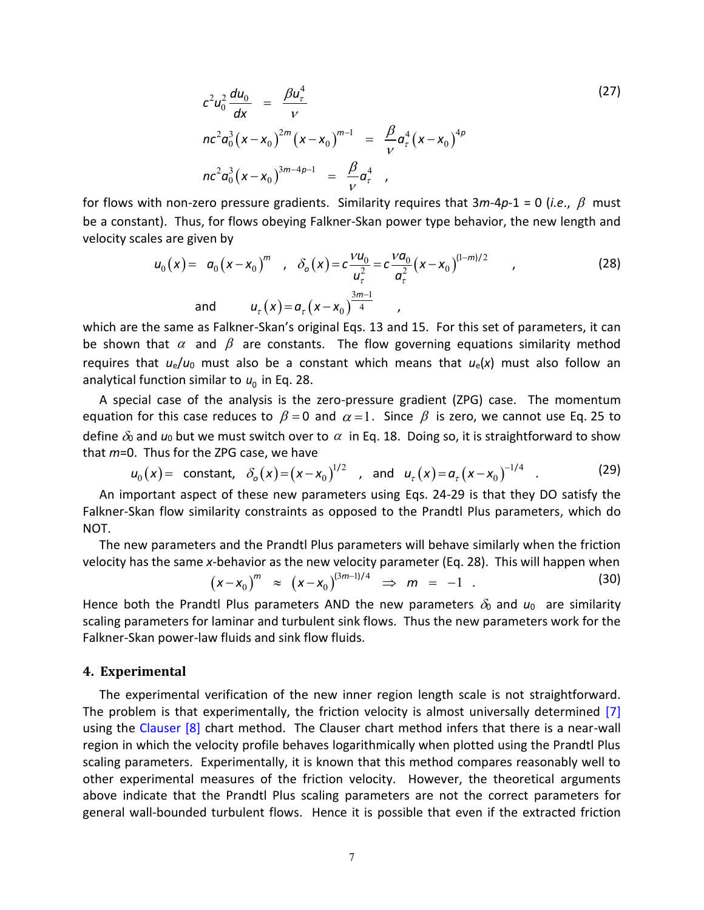$$
c^{2}u_{0}^{2}\frac{du_{0}}{dx} = \frac{\beta u_{\tau}^{4}}{v}
$$
  
\n
$$
nc^{2}a_{0}^{3}(x-x_{0})^{2m}(x-x_{0})^{m-1} = \frac{\beta}{v}a_{\tau}^{4}(x-x_{0})^{4p}
$$
  
\n
$$
nc^{2}a_{0}^{3}(x-x_{0})^{3m-4p-1} = \frac{\beta}{v}a_{\tau}^{4}
$$

for flows with non-zero pressure gradients. Similarity requires that 3*m*-4*p*-1 = 0 (*i.e*., must be a constant). Thus, for flows obeying Falkner-Skan power type behavior, the new length and velocity scales are given by<br>velocity scales are given by<br> $u_0(x) = a_0(x-x_0)^m$ ,  $\delta_o(x) = c \frac{V u_0}{u^2} = c \frac{V a_0}{\sigma^2} (x-x_0)^{(1-m)/2}$ , ( velocity scales are given by

The given by  
\n
$$
u_0(x) = a_0(x-x_0)^m , \quad \delta_0(x) = c \frac{vu_0}{u_\tau^2} = c \frac{v a_0}{a_\tau^2} (x-x_0)^{(1-m)/2} , \tag{28}
$$
\nand 
$$
u_\tau(x) = a_\tau (x-x_0)^{\frac{3m-1}{4}} ,
$$
\n
$$
u_0(x) = \frac{2a_0}{u_\tau^2} (x-x_0)^{\frac{3m-1}{4}} ,
$$

which are the same as Falkner-Skan's original Eqs. 13 and 15. For this set of parameters, it can be shown that  $\alpha$  and  $\beta$  are constants. The flow governing equations similarity method requires that  $u_e/u_0$  must also be a constant which means that  $u_e(x)$  must also follow an analytical function similar to 0 *u* in Eq. 28.

A special case of the analysis is the zero-pressure gradient (ZPG) case. The momentum equation for this case reduces to  $\beta = 0$  and  $\alpha = 1$ . Since  $\beta$  is zero, we cannot use Eq. 25 to define  $\delta_0$  and  $u_0$  but we must switch over to  $\alpha$  in Eq. 18. Doing so, it is straightforward to show<br>that *m*=0. Thus for the ZPG case, we have<br> $u_0(x) = \text{ constant, } \delta_0(x) = (x - x_0)^{1/2}$ , and  $u_\tau(x) = a_\tau(x - x_0)^{-1/4}$ . (29)<br>An

that 
$$
m=0
$$
. Thus for the ZPG case, we have  
\n
$$
u_0(x) = \text{ constant, } \delta_o(x) = (x - x_0)^{1/2}, \text{ and } u_\tau(x) = a_\tau (x - x_0)^{-1/4}.
$$
\n(29)

An important aspect of these new parameters using Eqs. 24-29 is that they DO satisfy the Falkner-Skan flow similarity constraints as opposed to the Prandtl Plus parameters, which do NOT.

The new parameters and the Prandtl Plus parameters will behave similarly when the friction

velocity has the same x-behavor as the new velocity parameter (Eq. 28). This will happen when  
\n
$$
(x-x_0)^m \approx (x-x_0)^{(3m-1)/4} \Rightarrow m = -1
$$
\n(30)

Hence both the Prandtl Plus parameters AND the new parameters  $\delta_0$  and  $u_0$  are similarity scaling parameters for laminar and turbulent sink flows. Thus the new parameters work for the Falkner-Skan power-law fluids and sink flow fluids.

#### **4. Experimental**

The experimental verification of the new inner region length scale is not straightforward. The problem is that experimentally, the friction velocity is almost universally determined [\[7\]](#page-11-6) using the [Clauser](#page-11-7) [8] chart method. The Clauser chart method infers that there is a near-wall region in which the velocity profile behaves logarithmically when plotted using the Prandtl Plus scaling parameters. Experimentally, it is known that this method compares reasonably well to other experimental measures of the friction velocity. However, the theoretical arguments above indicate that the Prandtl Plus scaling parameters are not the correct parameters for general wall-bounded turbulent flows. Hence it is possible that even if the extracted friction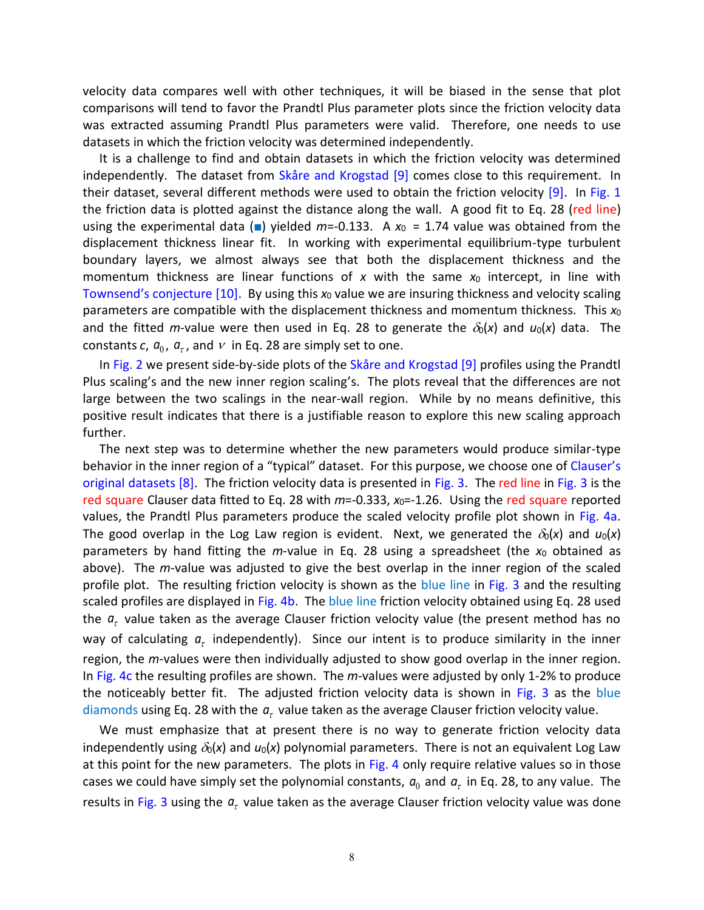velocity data compares well with other techniques, it will be biased in the sense that plot comparisons will tend to favor the Prandtl Plus parameter plots since the friction velocity data was extracted assuming Prandtl Plus parameters were valid. Therefore, one needs to use datasets in which the friction velocity was determined independently.

It is a challenge to find and obtain datasets in which the friction velocity was determined independently. The dataset from [Skåre and Krogstad](#page-11-8) [9] comes close to this requirement. In their dataset, several different methods were used to obtain the friction velocity [\[9\].](#page-11-8) In [Fig. 1](#page-12-0) the friction data is plotted against the distance along the wall. A good fit to Eq. 28 (red line) using the experimental data ( $\blacksquare$ ) yielded *m*=-0.133. A  $x_0$  = 1.74 value was obtained from the displacement thickness linear fit. In working with experimental equilibrium-type turbulent boundary layers, we almost always see that both the displacement thickness and the momentum thickness are linear functions of  $x$  with the same  $x_0$  intercept, in line with [Townsend's conjecture](#page-11-9)  $[10]$ . By using this  $x_0$  value we are insuring thickness and velocity scaling parameters are compatible with the displacement thickness and momentum thickness. This *x*<sup>0</sup> and the fitted *m*-value were then used in Eq. 28 to generate the  $\delta_0(x)$  and  $u_0(x)$  data. The constants  $c, a_0, a_\tau$ , and  $\nu$  in Eq. 28 are simply set to one.

In [Fig. 2](#page-12-1) we present side-by-side plots of the [Skåre and Krogstad \[9\]](#page-11-8) profiles using the Prandtl Plus scaling's and the new inner region scaling's. The plots reveal that the differences are not large between the two scalings in the near-wall region. While by no means definitive, this positive result indicates that there is a justifiable reason to explore this new scaling approach further.

The next step was to determine whether the new parameters would produce similar-type behavior in the inner region of a "typical" dataset. For this purpose, we choose one of Clauser's [original datasets](#page-11-7)  $[8]$ . The friction velocity data is presented in [Fig. 3.](#page-13-0) The red line in [Fig. 3](#page-13-0) is the red square Clauser data fitted to Eq. 28 with *m*=-0.333, *x*0=-1.26. Using the red square reported values, the Prandtl Plus parameters produce the scaled velocity profile plot shown in [Fig. 4a.](#page-14-0) The good overlap in the Log Law region is evident. Next, we generated the  $\delta_0(x)$  and  $u_0(x)$ parameters by hand fitting the *m*-value in Eq. 28 using a spreadsheet (the *x*<sup>0</sup> obtained as above). The *m*-value was adjusted to give the best overlap in the inner region of the scaled profile plot. The resulting friction velocity is shown as the blue line in [Fig. 3](#page-13-0) and the resulting scaled profiles are displayed in [Fig. 4b.](#page-14-0) The blue line friction velocity obtained using Eq. 28 used the  $a_{\tau}$  value taken as the average Clauser friction velocity value (the present method has no way of calculating  $a_{\tau}$  independently). Since our intent is to produce similarity in the inner region, the *m*-values were then individually adjusted to show good overlap in the inner region. In [Fig. 4c](#page-14-0) the resulting profiles are shown. The *m*-values were adjusted by only 1-2% to produce the noticeably better fit. The adjusted friction velocity data is shown in [Fig. 3](#page-13-0) as the blue diamonds using Eq. 28 with the  $a<sub>r</sub>$  value taken as the average Clauser friction velocity value.

We must emphasize that at present there is no way to generate friction velocity data independently using  $\delta_0(x)$  and  $u_0(x)$  polynomial parameters. There is not an equivalent Log Law at this point for the new parameters. The plots in [Fig. 4](#page-14-0) only require relative values so in those cases we could have simply set the polynomial constants,  $a_0$  and  $a_\tau$  in Eq. 28, to any value. The results in [Fig. 3](#page-13-0) using the  $a_{\tau}$  value taken as the average Clauser friction velocity value was done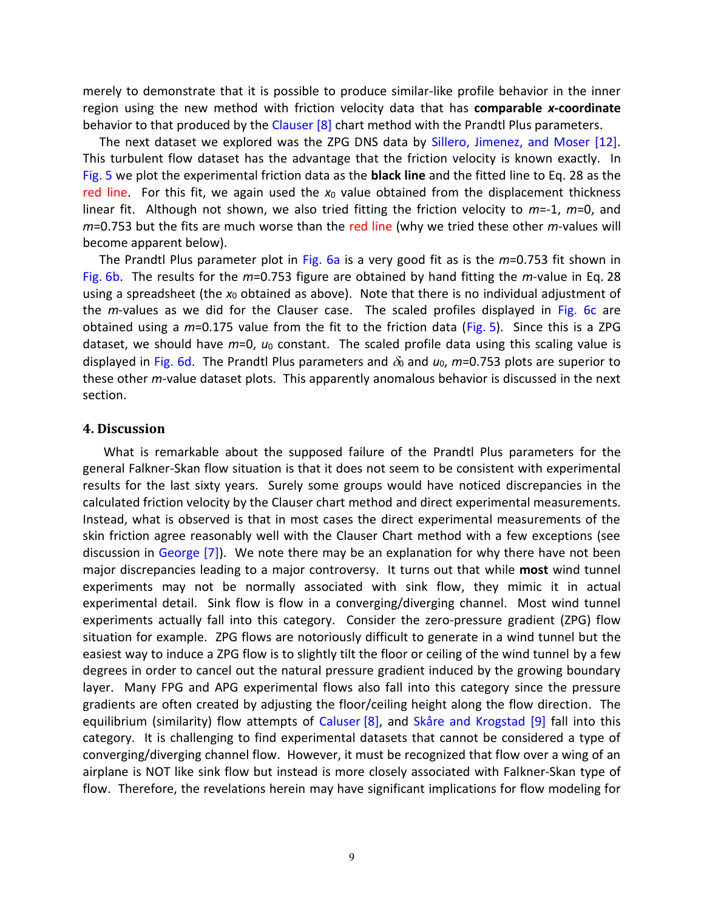merely to demonstrate that it is possible to produce similar-like profile behavior in the inner region using the new method with friction velocity data that has **comparable** *x***-coordinate** behavior to that produced by the [Clauser](#page-11-7)  $[8]$  chart method with the Prandtl Plus parameters.

The next dataset we explored was the ZPG DNS data by [Sillero, Jimenez, and Moser \[12\].](#page-11-10) This turbulent flow dataset has the advantage that the friction velocity is known exactly. In [Fig.](#page-15-0) 5 we plot the experimental friction data as the **black line** and the fitted line to Eq. 28 as the red line. For this fit, we again used the  $x_0$  value obtained from the displacement thickness linear fit. Although not shown, we also tried fitting the friction velocity to *m*=-1, *m*=0, and *m*=0.753 but the fits are much worse than the red line (why we tried these other *m*-values will become apparent below).

The Prandtl Plus parameter plot in [Fig. 6a](#page-16-0) is a very good fit as is the *m*=0.753 fit shown in [Fig.](#page-16-0) 6b. The results for the *m*=0.753 figure are obtained by hand fitting the *m*-value in Eq. 28 using a spreadsheet (the  $x_0$  obtained as above). Note that there is no individual adjustment of the *m*-values as we did for the Clauser case. The scaled profiles displayed in [Fig. 6c](#page-16-0) are obtained using a *m*=0.175 value from the fit to the friction data [\(Fig.](#page-15-0) 5). Since this is a ZPG dataset, we should have *m*=0, *u*<sup>0</sup> constant. The scaled profile data using this scaling value is displayed in [Fig. 6d.](#page-16-0) The Prandtl Plus parameters and  $\delta_0$  and  $u_0$ ,  $m=0.753$  plots are superior to these other *m*-value dataset plots. This apparently anomalous behavior is discussed in the next section.

#### **4. Discussion**

What is remarkable about the supposed failure of the Prandtl Plus parameters for the general Falkner-Skan flow situation is that it does not seem to be consistent with experimental results for the last sixty years. Surely some groups would have noticed discrepancies in the calculated friction velocity by the Clauser chart method and direct experimental measurements. Instead, what is observed is that in most cases the direct experimental measurements of the skin friction agree reasonably well with the Clauser Chart method with a few exceptions (see discussion in [George \[7\]\)](#page-11-6). We note there may be an explanation for why there have not been major discrepancies leading to a major controversy. It turns out that while **most** wind tunnel experiments may not be normally associated with sink flow, they mimic it in actual experimental detail. Sink flow is flow in a converging/diverging channel. Most wind tunnel experiments actually fall into this category. Consider the zero-pressure gradient (ZPG) flow situation for example. ZPG flows are notoriously difficult to generate in a wind tunnel but the easiest way to induce a ZPG flow is to slightly tilt the floor or ceiling of the wind tunnel by a few degrees in order to cancel out the natural pressure gradient induced by the growing boundary layer. Many FPG and APG experimental flows also fall into this category since the pressure gradients are often created by adjusting the floor/ceiling height along the flow direction. The equilibrium (similarity) flow attempts of [Caluser](#page-11-7) [8], and [Skåre and Krogstad](#page-11-8) [9] fall into this category. It is challenging to find experimental datasets that cannot be considered a type of converging/diverging channel flow. However, it must be recognized that flow over a wing of an airplane is NOT like sink flow but instead is more closely associated with Falkner-Skan type of flow. Therefore, the revelations herein may have significant implications for flow modeling for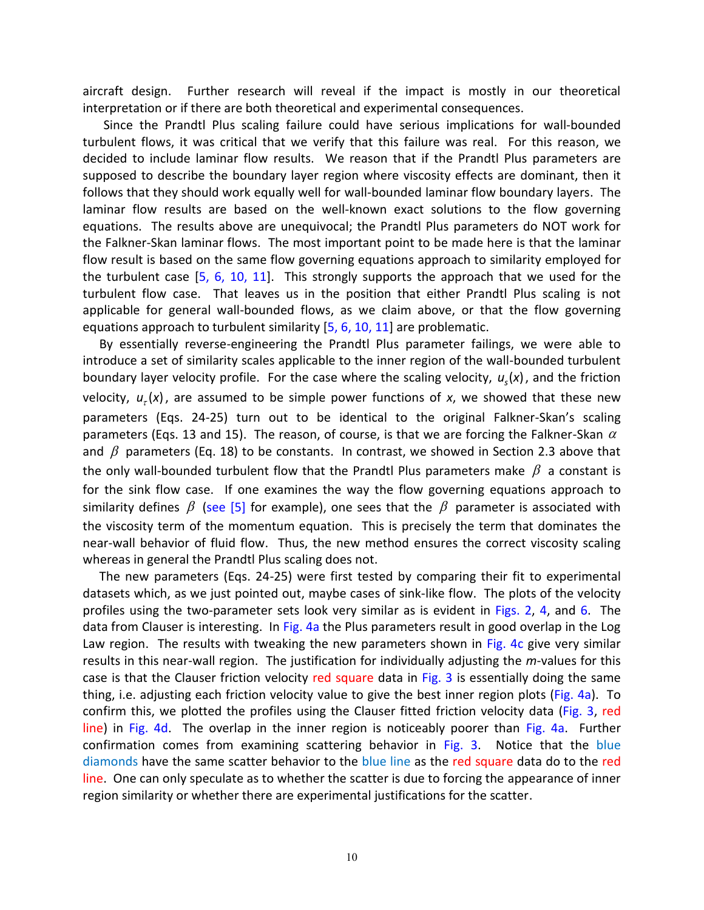aircraft design. Further research will reveal if the impact is mostly in our theoretical interpretation or if there are both theoretical and experimental consequences.

Since the Prandtl Plus scaling failure could have serious implications for wall-bounded turbulent flows, it was critical that we verify that this failure was real. For this reason, we decided to include laminar flow results. We reason that if the Prandtl Plus parameters are supposed to describe the boundary layer region where viscosity effects are dominant, then it follows that they should work equally well for wall-bounded laminar flow boundary layers. The laminar flow results are based on the well-known exact solutions to the flow governing equations. The results above are unequivocal; the Prandtl Plus parameters do NOT work for the Falkner-Skan laminar flows. The most important point to be made here is that the laminar flow result is based on the same flow governing equations approach to similarity employed for the turbulent case [\[5, 6,](#page-11-4) [10, 11\]](#page-11-9). This strongly supports the approach that we used for the turbulent flow case. That leaves us in the position that either Prandtl Plus scaling is not applicable for general wall-bounded flows, as we claim above, or that the flow governing equations approach to turbulent similarity [\[5, 6,](#page-11-4) [10, 11\]](#page-11-9) are problematic.

By essentially reverse-engineering the Prandtl Plus parameter failings, we were able to introduce a set of similarity scales applicable to the inner region of the wall-bounded turbulent boundary layer velocity profile. For the case where the scaling velocity,  $u_s(x)$ , and the friction velocity,  $u_{\tau}(x)$ , are assumed to be simple power functions of x, we showed that these new parameters (Eqs. 24-25) turn out to be identical to the original Falkner-Skan's scaling parameters (Eqs. 13 and 15). The reason, of course, is that we are forcing the Falkner-Skan  $\alpha$ and  $\beta$  parameters (Eq. 18) to be constants. In contrast, we showed in Section 2.3 above that the only wall-bounded turbulent flow that the Prandtl Plus parameters make  $\,\beta\,$  a constant is for the sink flow case. If one examines the way the flow governing equations approach to similarity defines  $\beta$  [\(see \[5\]](#page-11-4) for example), one sees that the  $\beta$  parameter is associated with the viscosity term of the momentum equation. This is precisely the term that dominates the near-wall behavior of fluid flow. Thus, the new method ensures the correct viscosity scaling whereas in general the Prandtl Plus scaling does not.

The new parameters (Eqs. 24-25) were first tested by comparing their fit to experimental datasets which, as we just pointed out, maybe cases of sink-like flow. The plots of the velocity profiles using the two-parameter sets look very similar as is evident in Figs. [2,](#page-12-1) [4,](#page-14-0) and [6.](#page-16-0) The data from Clauser is interesting. In [Fig. 4a](#page-14-0) the Plus parameters result in good overlap in the Log Law region. The results with tweaking the new parameters shown in [Fig. 4c](#page-14-0) give very similar results in this near-wall region. The justification for individually adjusting the *m*-values for this case is that the Clauser friction velocity red square data in [Fig. 3](#page-13-0) is essentially doing the same thing, i.e. adjusting each friction velocity value to give the best inner region plots [\(Fig. 4a\)](#page-14-0). To confirm this, we plotted the profiles using the Clauser fitted friction velocity data [\(Fig. 3,](#page-13-0) red line) in [Fig. 4d.](#page-14-0) The overlap in the inner region is noticeably poorer than [Fig. 4a.](#page-14-0) Further confirmation comes from examining scattering behavior in [Fig. 3.](#page-13-0) Notice that the blue diamonds have the same scatter behavior to the blue line as the red square data do to the red line. One can only speculate as to whether the scatter is due to forcing the appearance of inner region similarity or whether there are experimental justifications for the scatter.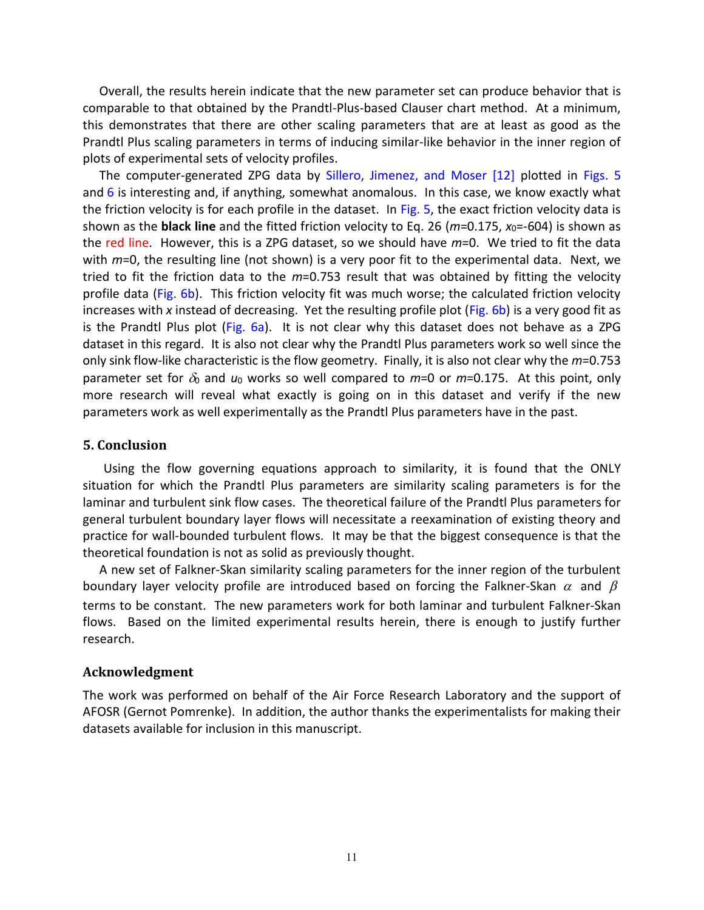Overall, the results herein indicate that the new parameter set can produce behavior that is comparable to that obtained by the Prandtl-Plus-based Clauser chart method. At a minimum, this demonstrates that there are other scaling parameters that are at least as good as the Prandtl Plus scaling parameters in terms of inducing similar-like behavior in the inner region of plots of experimental sets of velocity profiles.

The computer-generated ZPG data by [Sillero, Jimenez, and Moser \[12\]](#page-11-10) plotted in [Figs. 5](#page-15-0) and  $6$  is interesting and, if anything, somewhat anomalous. In this case, we know exactly what the friction velocity is for each profile in the dataset. In [Fig. 5,](#page-15-0) the exact friction velocity data is shown as the **black line** and the fitted friction velocity to Eq. 26 (*m*=0.175, *x*0=-604) is shown as the red line. However, this is a ZPG dataset, so we should have *m*=0. We tried to fit the data with  $m=0$ , the resulting line (not shown) is a very poor fit to the experimental data. Next, we tried to fit the friction data to the *m*=0.753 result that was obtained by fitting the velocity profile data [\(Fig. 6b\)](#page-16-0). This friction velocity fit was much worse; the calculated friction velocity increases with *x* instead of decreasing. Yet the resulting profile plot [\(Fig. 6b\)](#page-16-0) is a very good fit as is the Prandtl Plus plot [\(Fig. 6a\)](#page-16-0). It is not clear why this dataset does not behave as a ZPG dataset in this regard. It is also not clear why the Prandtl Plus parameters work so well since the only sink flow-like characteristic is the flow geometry. Finally, it is also not clear why the *m*=0.753 parameter set for  $\delta_0$  and  $u_0$  works so well compared to  $m=0$  or  $m=0.175$ . At this point, only more research will reveal what exactly is going on in this dataset and verify if the new parameters work as well experimentally as the Prandtl Plus parameters have in the past.

#### **5. Conclusion**

Using the flow governing equations approach to similarity, it is found that the ONLY situation for which the Prandtl Plus parameters are similarity scaling parameters is for the laminar and turbulent sink flow cases. The theoretical failure of the Prandtl Plus parameters for general turbulent boundary layer flows will necessitate a reexamination of existing theory and practice for wall-bounded turbulent flows. It may be that the biggest consequence is that the theoretical foundation is not as solid as previously thought.

A new set of Falkner-Skan similarity scaling parameters for the inner region of the turbulent boundary layer velocity profile are introduced based on forcing the Falkner-Skan  $\alpha$  and  $\beta$ terms to be constant. The new parameters work for both laminar and turbulent Falkner-Skan flows. Based on the limited experimental results herein, there is enough to justify further research.

#### **Acknowledgment**

The work was performed on behalf of the Air Force Research Laboratory and the support of AFOSR (Gernot Pomrenke). In addition, the author thanks the experimentalists for making their datasets available for inclusion in this manuscript.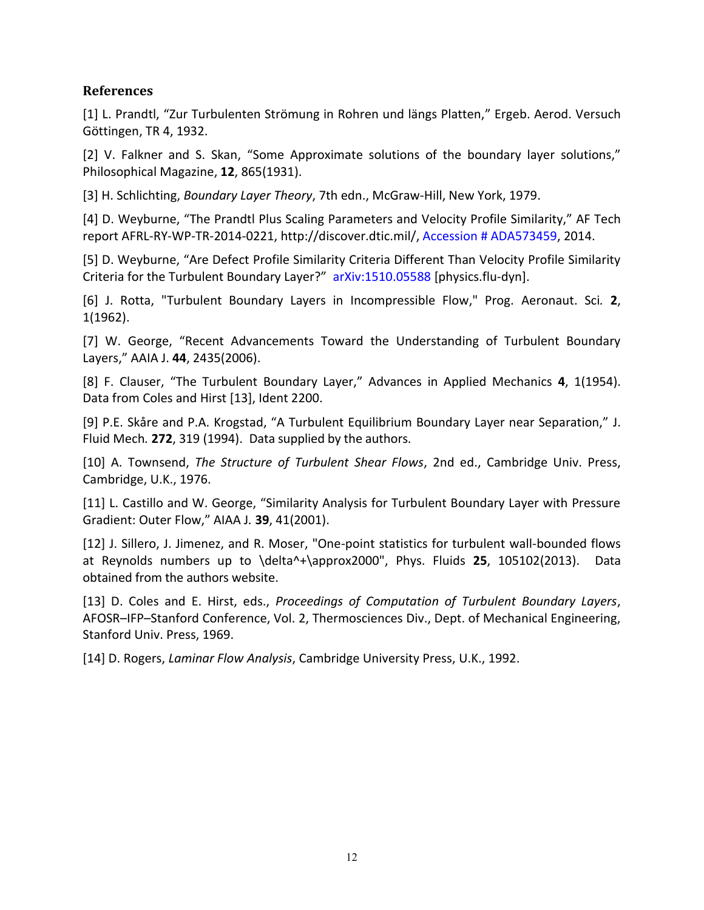## **References**

<span id="page-11-0"></span>[1] L. Prandtl, "Zur Turbulenten Strömung in Rohren und längs Platten," Ergeb. Aerod. Versuch Göttingen, TR 4, 1932.

<span id="page-11-1"></span>[2] V. Falkner and S. Skan, "Some Approximate solutions of the boundary layer solutions," Philosophical Magazine, **12**, 865(1931).

<span id="page-11-2"></span>[3] H. Schlichting, *Boundary Layer Theory*, 7th edn., McGraw-Hill, New York, 1979.

<span id="page-11-3"></span>[4] D. Weyburne, "The Prandtl Plus Scaling Parameters and Velocity Profile Similarity," AF Tech report AFRL-RY-WP-TR-2014-0221, http://discover.dtic.mil/, [Accession # ADA573459,](https://apps.dtic.mil/docs/citations/ADA573459) 2014.

<span id="page-11-4"></span>[5] D. Weyburne, "Are Defect Profile Similarity Criteria Different Than Velocity Profile Similarity Criteria for the Turbulent Boundary Layer?" [arXiv:1510.05588](https://arxiv.org/abs/1510.05588) [physics.flu-dyn].

<span id="page-11-5"></span>[6] J. Rotta, "Turbulent Boundary Layers in Incompressible Flow," Prog. Aeronaut. Sci*.* **2**, 1(1962).

<span id="page-11-6"></span>[7] W. George, "Recent Advancements Toward the Understanding of Turbulent Boundary Layers," AAIA J. **44**, 2435(2006).

<span id="page-11-7"></span>[8] F. Clauser, "The Turbulent Boundary Layer," Advances in Applied Mechanics **4**, 1(1954). Data from Coles and Hirst [13], Ident 2200.

<span id="page-11-8"></span>[9] P.E. Skåre and P.A. Krogstad, "A Turbulent Equilibrium Boundary Layer near Separation," J. Fluid Mech*.* **272**, 319 (1994). Data supplied by the authors.

<span id="page-11-9"></span>[10] A. Townsend, *The Structure of Turbulent Shear Flows*, 2nd ed., Cambridge Univ. Press, Cambridge, U.K., 1976.

[11] L. Castillo and W. George, "Similarity Analysis for Turbulent Boundary Layer with Pressure Gradient: Outer Flow," AIAA J*.* **39**, 41(2001).

<span id="page-11-10"></span>[12] J. Sillero, J. Jimenez, and R. Moser, "One-point statistics for turbulent wall-bounded flows at Reynolds numbers up to \delta^+\approx2000", Phys. Fluids **25**, 105102(2013). Data obtained from the authors website.

[13] D. Coles and E. Hirst, eds., *Proceedings of Computation of Turbulent Boundary Layers*, AFOSR–IFP–Stanford Conference, Vol. 2, Thermosciences Div., Dept. of Mechanical Engineering, Stanford Univ. Press, 1969.

<span id="page-11-11"></span>[14] D. Rogers, *Laminar Flow Analysis*, Cambridge University Press, U.K., 1992.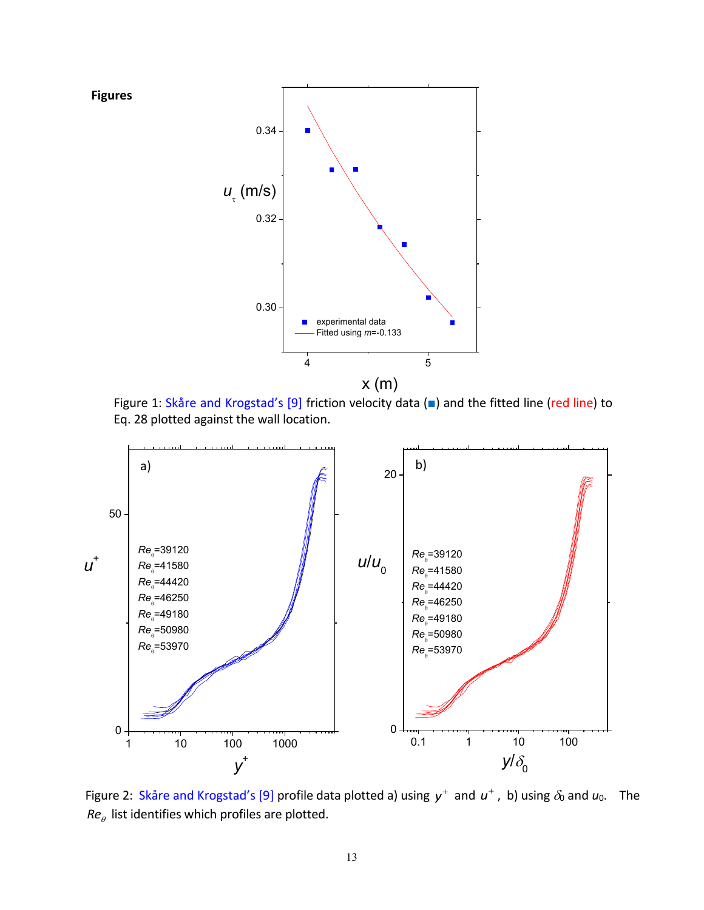

<span id="page-12-0"></span>Figure 1: [Skåre and Krogstad's \[9\]](#page-11-8) friction velocity data (■) and the fitted line (red line) to Eq. 28 plotted against the wall location.



<span id="page-12-1"></span>Figure 2: [Skåre and Krogstad's \[9\]](#page-11-8) profile data plotted a) using  $y^+$  and  $u^+$ , b) using  $\delta_0$  and  $u_0$ . The *Re* list identifies which profiles are plotted.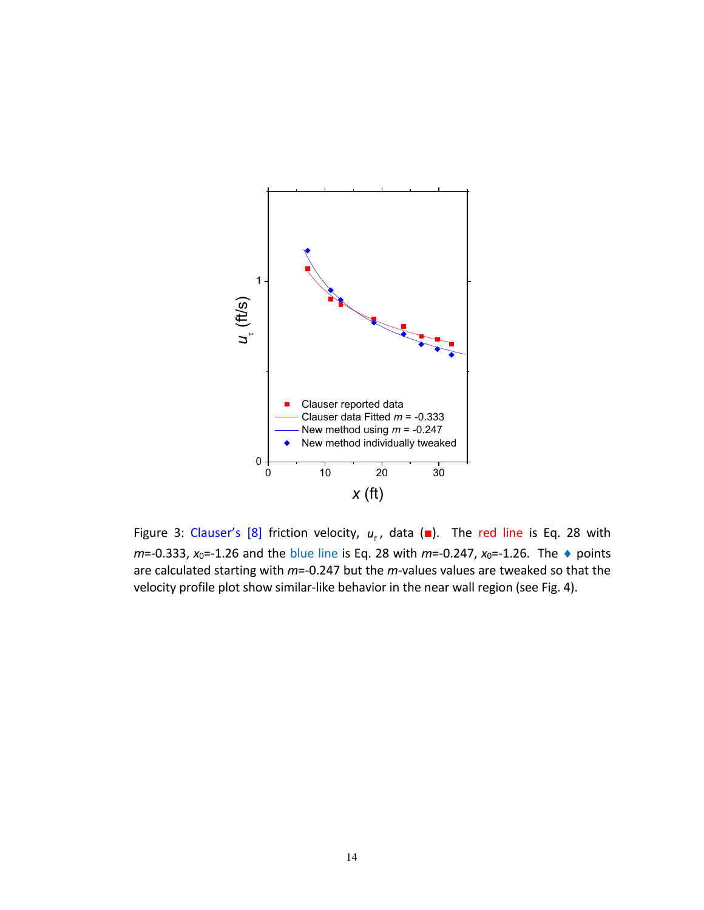

<span id="page-13-0"></span>Figure 3: [Clauser's \[8\]](#page-11-7) friction velocity,  $u_t$ , data ( $\blacksquare$ ). The red line is Eq. 28 with *m*=-0.333, *x*<sub>0</sub>=-1.26 and the blue line is Eq. 28 with *m*=-0.247, *x*<sub>0</sub>=-1.26. The ◆ points are calculated starting with *m*=-0.247 but the *m*-values values are tweaked so that the velocity profile plot show similar-like behavior in the near wall region (see Fig. 4).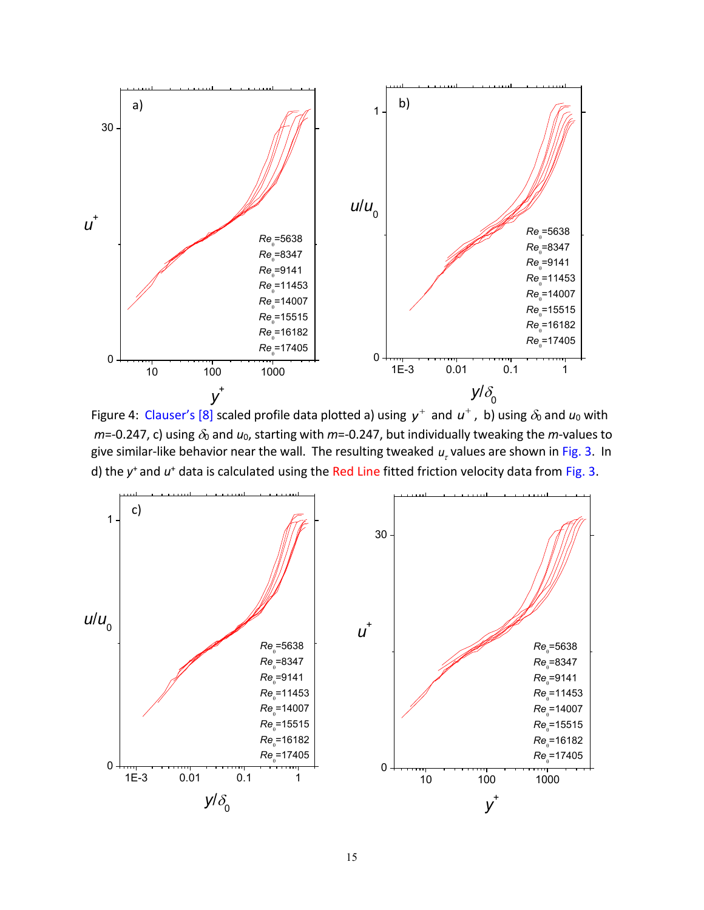

<span id="page-14-0"></span>Figure 4: [Clauser's \[8\]](#page-11-7) scaled profile data plotted a) using  $y^+$  and  $u^+$  , b) using  $\delta_0$  and  $u_0$  with  $m$ =-0.247, c) using  $\delta_0$  and  $u_0$ , starting with  $m$ =-0.247, but individually tweaking the  $m$ -values to give similar-like behavior near the wall. The resulting tweaked  $u<sub>r</sub>$  values are shown in [Fig. 3.](#page-13-0) In d) the y<sup>+</sup> and u<sup>+</sup> data is calculated using the Red Line fitted friction velocity data from [Fig. 3.](#page-13-0)

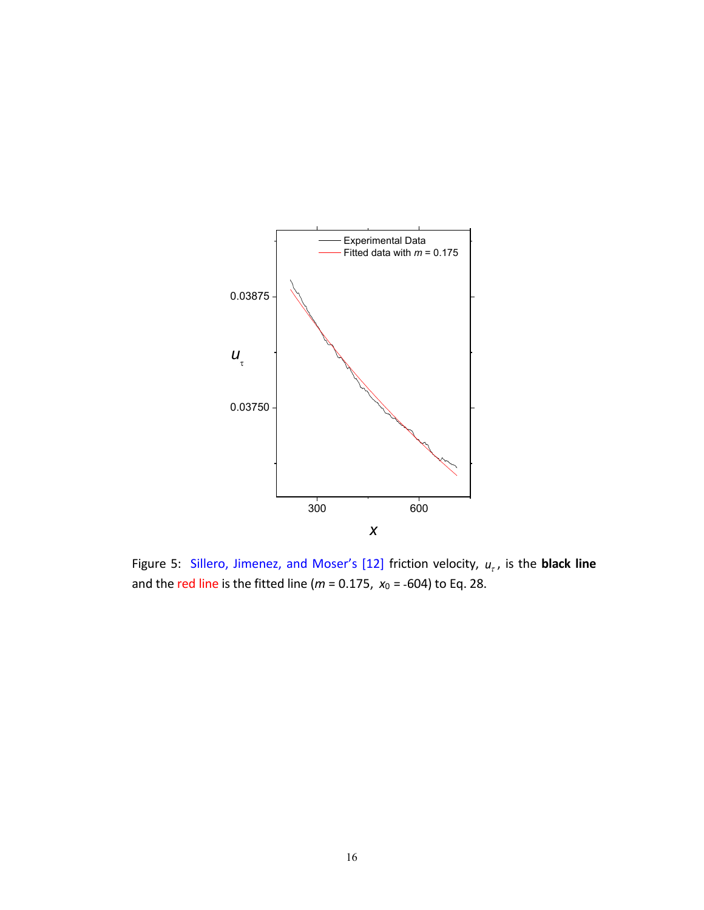

<span id="page-15-0"></span>Figure 5: [Sillero, Jimenez, and Moser's \[12\]](#page-11-10) friction velocity,  $u_r$ , is the **black line** and the red line is the fitted line (*m* = 0.175, *x*0 = -604) to Eq. 28.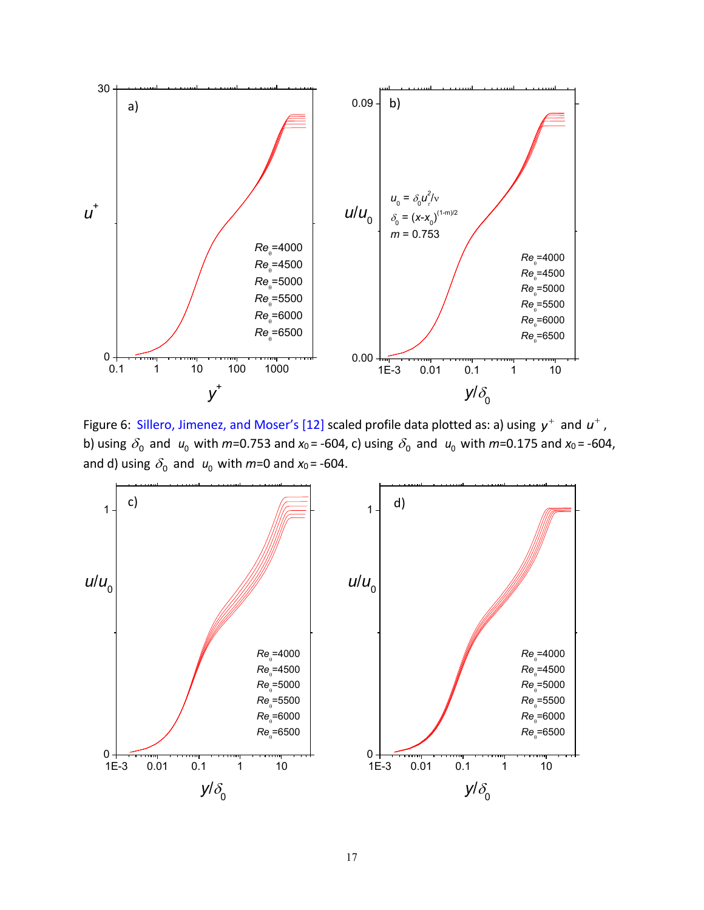

<span id="page-16-0"></span>Figure 6: [Sillero, Jimenez, and Moser's \[12\]](#page-11-10) scaled profile data plotted as: a) using  $y^+$  and  $u^+$  , b) using  $\delta_0$  and  $u_0$  with  $m$ =0.753 and  $x_0$  = -604, c) using  $\delta_0$  and  $u_0$  with  $m$ =0.175 and  $x_0$  = -604, and d) using  $\delta_0$  and  $u_0$  with  $m$ =0 and  $x_0$ = -604.

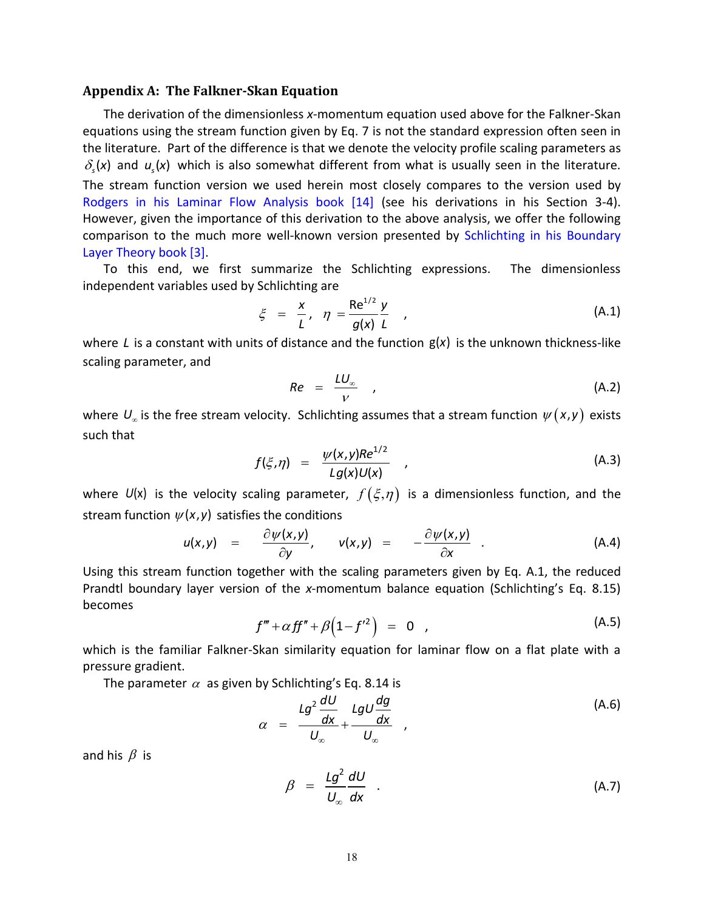#### <span id="page-17-0"></span>**Appendix A: The Falkner-Skan Equation**

The derivation of the dimensionless *x*-momentum equation used above for the Falkner-Skan equations using the stream function given by Eq. 7 is not the standard expression often seen in the literature. Part of the difference is that we denote the velocity profile scaling parameters as  $\delta_{s}(x)$  and  $u_{s}(x)$  which is also somewhat different from what is usually seen in the literature. The stream function version we used herein most closely compares to the version used by [Rodgers in his Laminar Flow Analysis book](#page-11-11) [14] (see his derivations in his Section 3-4). However, given the importance of this derivation to the above analysis, we offer the following comparison to the much more well-known version presented by [Schlichting in his Boundary](#page-11-2)  [Layer Theory book \[3\].](#page-11-2)

To this end, we first summarize the Schlichting expressions. The dimensionless independent variables used by Schlichting are

$$
\xi = \frac{x}{L}, \quad \eta = \frac{\text{Re}^{1/2} y}{g(x) L}, \tag{A.1}
$$

where L is a constant with units of distance and the function  $g(x)$  is the unknown thickness-like scaling parameter, and

$$
Re = \frac{LU_{\infty}}{V} \qquad (A.2)
$$

where  $U_{\omega}$  is the free stream velocity. Schlichting assumes that a stream function  $\psi\bigl(\mathsf{x},\mathsf{y}\bigr)$  exists such that

$$
f(\xi,\eta) = \frac{\psi(x,y)Re^{1/2}}{Lg(x)U(x)}
$$
 (A.3)

where  $U(x)$  is the velocity scaling parameter,  $f(\xi,\eta)$  is a dimensionless function, and the the conditions<br>  $\frac{\partial \psi(x,y)}{\partial y}$ ,  $v(x,y) = -\frac{\partial \psi(x,y)}{\partial y}$ 

stream function 
$$
\psi(x, y)
$$
 satisfies the conditions  
\n
$$
u(x,y) = \frac{\partial \psi(x,y)}{\partial y}, \qquad v(x,y) = -\frac{\partial \psi(x,y)}{\partial x}.
$$
\n(4.4)

Using this stream function together with the scaling parameters given by Eq. A.1, the reduced Prandtl boundary layer version of the *x*-momentum balance equation (Schlichting's Eq. 8.15) becomes

$$
f''' + \alpha f f'' + \beta \left(1 - f'^2\right) = 0 \quad , \tag{A.5}
$$

which is the familiar Falkner-Skan similarity equation for laminar flow on a flat plate with a pressure gradient.

The parameter  $\alpha\,$  as given by Schlichting's Eq. 8.14 is

$$
\alpha = \frac{Lg^2 \frac{dU}{dx}}{U_{\infty}} + \frac{LgU \frac{dg}{dx}}{U_{\infty}} , \qquad (A.6)
$$

and his  $\beta$  is

$$
\beta = \frac{Lg^2}{U_{\infty}} \frac{dU}{dx} \quad . \tag{A.7}
$$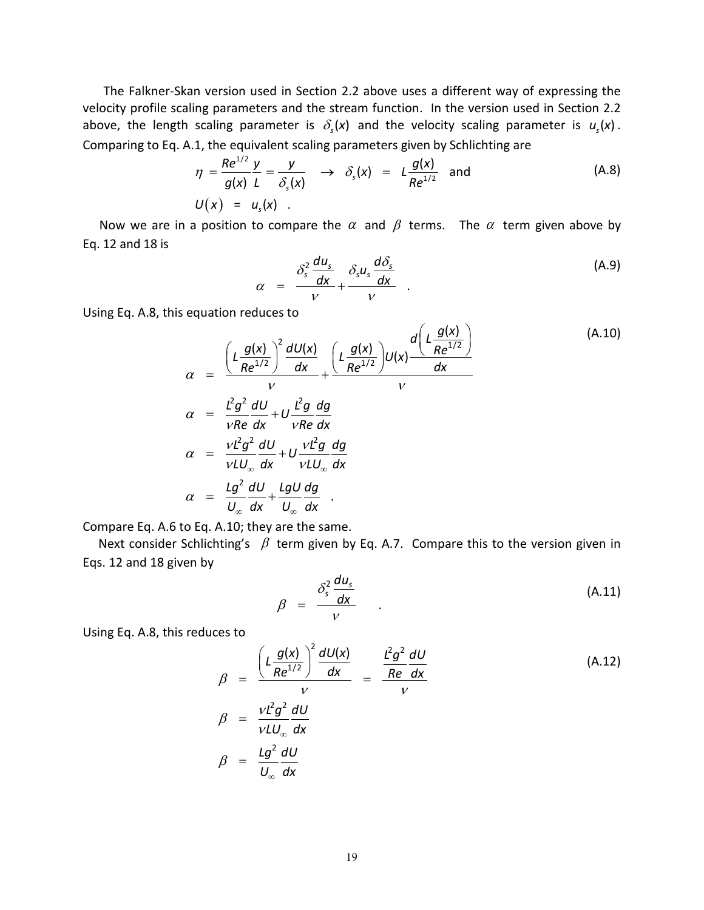The Falkner-Skan version used in Section 2.2 above uses a different way of expressing the velocity profile scaling parameters and the stream function. In the version used in Section 2.2 above, the length scaling parameter is  $\delta_s(x)$  and the velocity scaling parameter is  $u_s(x)$ .

Comparing to Eq. A.1, the equivalent scaling parameters given by Schlichting are  
\n
$$
\eta = \frac{Re^{1/2} y}{g(x)} \frac{y}{L} = \frac{y}{\delta_s(x)} \rightarrow \delta_s(x) = L \frac{g(x)}{Re^{1/2}}
$$
 and (A.8)  
\n
$$
U(x) = u_s(x) .
$$

Now we are in a position to compare the  $\alpha$  and  $\beta$  terms. The  $\alpha$  term given above by Eq. 12 and 18 is

$$
\alpha = \frac{\delta_s^2 \frac{du_s}{dx}}{v} + \frac{\delta_s u_s \frac{d \delta_s}{dx}}{v} \qquad (A.9)
$$

Using Eq. A.8, this equation reduces to

equation reduces to  
\n
$$
\alpha = \frac{\left(L\frac{g(x)}{Re^{1/2}}\right)^2 \frac{dU(x)}{dx}}{V} + \frac{\left(L\frac{g(x)}{Re^{1/2}}\right)U(x)\frac{d\left(L\frac{g(x)}{Re^{1/2}}\right)}{dx}}{V}
$$
\n
$$
\alpha = \frac{L^2g^2}{vRe}\frac{dU}{dx} + U\frac{L^2g}{vRe}\frac{dg}{dx}
$$
\n
$$
\alpha = \frac{VL^2g^2}{vLU_{\infty}}\frac{dU}{dx} + U\frac{vl^2g}{vLU_{\infty}}\frac{dg}{dx}
$$
\n
$$
\alpha = \frac{Lg^2}{U_{\infty}}\frac{dU}{dx} + \frac{LgU}{U_{\infty}}\frac{dg}{dx}
$$
\n(4.10)

Compare Eq. A.6 to Eq. A.10; they are the same.

Next consider Schlichting's  $\beta$  term given by Eq. A.7. Compare this to the version given in Eqs. 12 and 18 given by

$$
\beta = \frac{\delta_s^2 \frac{du_s}{dx}}{v} \tag{A.11}
$$

Using Eq. A.8, this reduces to

$$
\beta = \frac{\left(L\frac{g(x)}{Re^{1/2}}\right)^2 \frac{dU(x)}{dx}}{V} = \frac{\frac{L^2g^2}{Re}\frac{dU}{dx}}{V}
$$
\n
$$
\beta = \frac{VL^2g^2}{VLU_{\infty}}\frac{dU}{dx}
$$
\n
$$
\beta = \frac{Lg^2}{U_{\infty}}\frac{dU}{dx}
$$
\n(4.12)